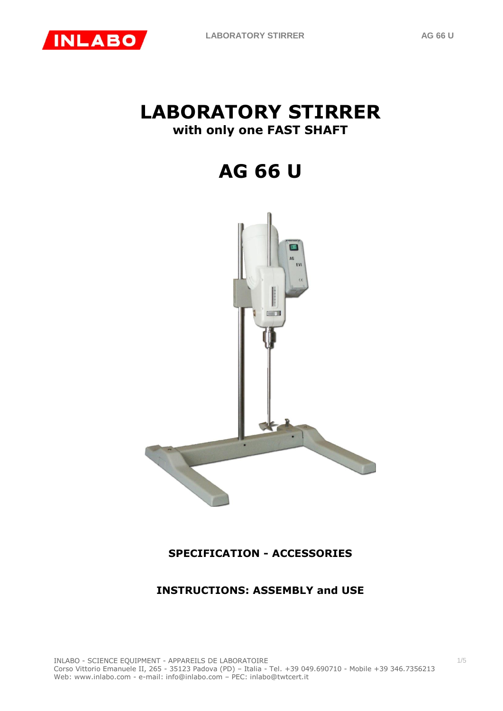# **LABORATORY STIRRER with only one FAST SHAFT**

**AG 66 U** 



# **SPECIFICATION - ACCESSORIES**

# **INSTRUCTIONS: ASSEMBLY and USE**

1/5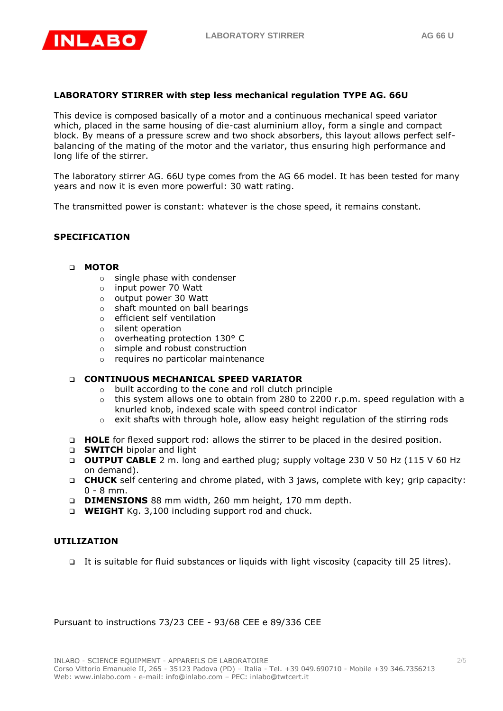

## **LABORATORY STIRRER with step less mechanical regulation TYPE AG. 66U**

This device is composed basically of a motor and a continuous mechanical speed variator which, placed in the same housing of die-cast aluminium alloy, form a single and compact block. By means of a pressure screw and two shock absorbers, this layout allows perfect selfbalancing of the mating of the motor and the variator, thus ensuring high performance and long life of the stirrer.

The laboratory stirrer AG. 66U type comes from the AG 66 model. It has been tested for many years and now it is even more powerful: 30 watt rating.

The transmitted power is constant: whatever is the chose speed, it remains constant.

#### **SPECIFICATION**

#### **MOTOR**

- o single phase with condenser
- o input power 70 Watt
- o output power 30 Watt
- o shaft mounted on ball bearings
- o efficient self ventilation
- o silent operation
- o overheating protection 130° C
- o simple and robust construction
- o requires no particolar maintenance

#### **CONTINUOUS MECHANICAL SPEED VARIATOR**

- o built according to the cone and roll clutch principle
- $\circ$  this system allows one to obtain from 280 to 2200 r.p.m. speed regulation with a knurled knob, indexed scale with speed control indicator
- o exit shafts with through hole, allow easy height regulation of the stirring rods
- **HOLE** for flexed support rod: allows the stirrer to be placed in the desired position.
- **SWITCH** bipolar and light
- **OUTPUT CABLE** 2 m. long and earthed plug; supply voltage 230 V 50 Hz (115 V 60 Hz on demand).
- **CHUCK** self centering and chrome plated, with 3 jaws, complete with key; grip capacity: 0 - 8 mm.
- **DIMENSIONS** 88 mm width, 260 mm height, 170 mm depth.
- **WEIGHT** Kg. 3,100 including support rod and chuck.

#### **UTILIZATION**

It is suitable for fluid substances or liquids with light viscosity (capacity till 25 litres).

Pursuant to instructions 73/23 CEE - 93/68 CEE e 89/336 CEE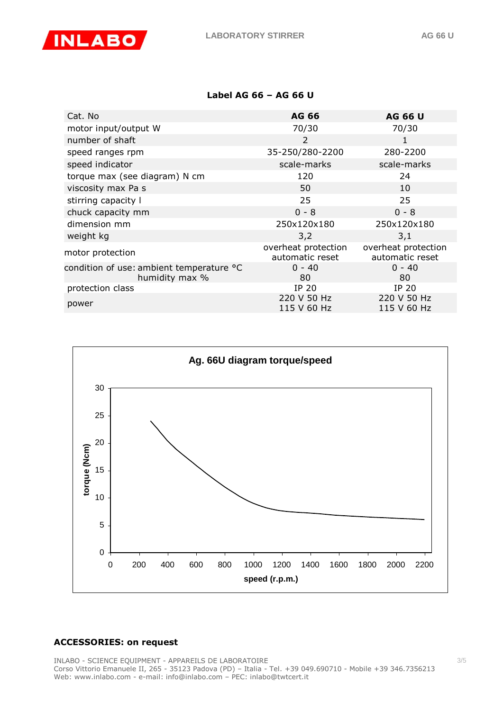

### **Label AG 66 – AG 66 U**

| Cat. No                                                    | <b>AG 66</b>                           | <b>AG 66 U</b>                         |
|------------------------------------------------------------|----------------------------------------|----------------------------------------|
| motor input/output W                                       | 70/30                                  | 70/30                                  |
| number of shaft                                            | 2                                      | 1                                      |
| speed ranges rpm                                           | 35-250/280-2200                        | 280-2200                               |
| speed indicator                                            | scale-marks                            | scale-marks                            |
| torque max (see diagram) N cm                              | 120                                    | 24                                     |
| viscosity max Pa s                                         | 50                                     | 10                                     |
| stirring capacity I                                        | 25                                     | 25                                     |
| chuck capacity mm                                          | $0 - 8$                                | $0 - 8$                                |
| dimension mm                                               | 250x120x180                            | 250x120x180                            |
| weight kg                                                  | 3,2                                    | 3,1                                    |
| motor protection                                           | overheat protection<br>automatic reset | overheat protection<br>automatic reset |
| condition of use: ambient temperature °C<br>humidity max % | $0 - 40$<br>80                         | $0 - 40$<br>80                         |
| protection class                                           | IP 20                                  | IP 20                                  |
| power                                                      | 220 V 50 Hz<br>115 V 60 Hz             | 220 V 50 Hz<br>115 V 60 Hz             |



# **ACCESSORIES: on request**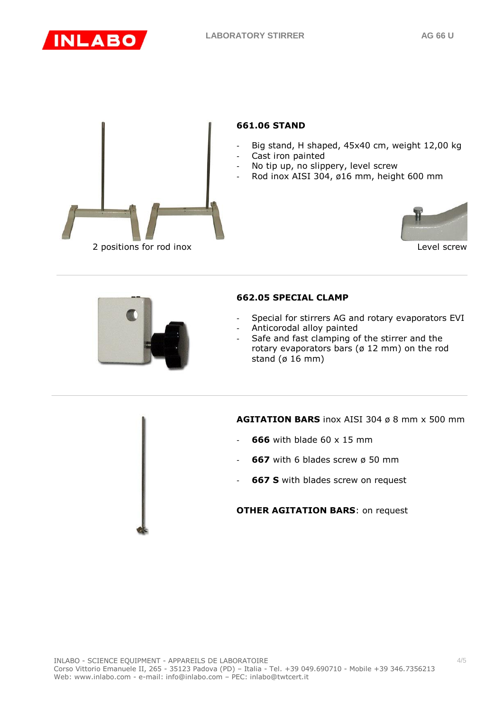



# **661.06 STAND**

- Big stand, H shaped, 45x40 cm, weight 12,00 kg
- Cast iron painted
- No tip up, no slippery, level screw
- Rod inox AISI 304, ø16 mm, height 600 mm



Level screw



#### **662.05 SPECIAL CLAMP**

- Special for stirrers AG and rotary evaporators EVI
- Anticorodal alloy painted
- Safe and fast clamping of the stirrer and the rotary evaporators bars (ø 12 mm) on the rod stand (ø 16 mm)

**AGITATION BARS** inox AISI 304 ø 8 mm x 500 mm

- **666** with blade 60 x 15 mm
- **667** with 6 blades screw ø 50 mm
- **667 S** with blades screw on request

**OTHER AGITATION BARS**: on request